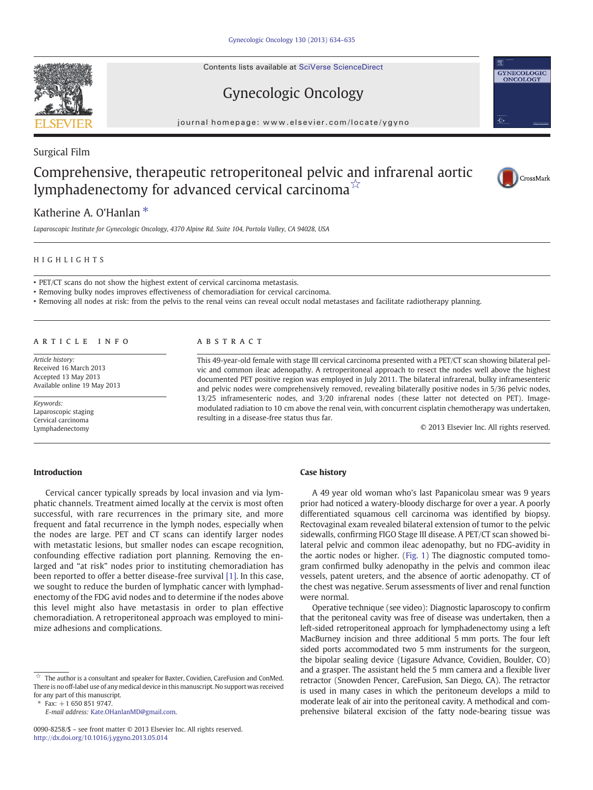Contents lists available at SciVerse ScienceDirect

# Gynecologic Oncology



#### journal homepage: www.elsevier.com/locate/ygyno

## Surgical Film

# Comprehensive, therapeutic retroperitoneal pelvic and infrarenal aortic lymphadenectomy for advanced cervical carcinoma $\vec{r}$



# Katherine A. O'Hanlan<sup>\*</sup>

Laparoscopic Institute for Gynecologic Oncology, 4370 Alpine Rd. Suite 104, Portola Valley, CA 94028, USA

### HIGHLIGHTS

• PET/CT scans do not show the highest extent of cervical carcinoma metastasis.

• Removing bulky nodes improves effectiveness of chemoradiation for cervical carcinoma.

• Removing all nodes at risk: from the pelvis to the renal veins can reveal occult nodal metastases and facilitate radiotherapy planning.

#### article info abstract

Article history: Received 16 March 2013 Accepted 13 May 2013 Available online 19 May 2013

Keywords: Laparoscopic staging Cervical carcinoma Lymphadenectomy

This 49-year-old female with stage III cervical carcinoma presented with a PET/CT scan showing bilateral pelvic and common ileac adenopathy. A retroperitoneal approach to resect the nodes well above the highest documented PET positive region was employed in July 2011. The bilateral infrarenal, bulky inframesenteric and pelvic nodes were comprehensively removed, revealing bilaterally positive nodes in 5/36 pelvic nodes, 13/25 inframesenteric nodes, and 3/20 infrarenal nodes (these latter not detected on PET). Imagemodulated radiation to 10 cm above the renal vein, with concurrent cisplatin chemotherapy was undertaken, resulting in a disease-free status thus far.

© 2013 Elsevier Inc. All rights reserved.

### Introduction

Cervical cancer typically spreads by local invasion and via lymphatic channels. Treatment aimed locally at the cervix is most often successful, with rare recurrences in the primary site, and more frequent and fatal recurrence in the lymph nodes, especially when the nodes are large. PET and CT scans can identify larger nodes with metastatic lesions, but smaller nodes can escape recognition, confounding effective radiation port planning. Removing the enlarged and "at risk" nodes prior to instituting chemoradiation has been reported to offer a better disease-free survival [\[1\]](#page-1-0). In this case, we sought to reduce the burden of lymphatic cancer with lymphadenectomy of the FDG avid nodes and to determine if the nodes above this level might also have metastasis in order to plan effective chemoradiation. A retroperitoneal approach was employed to minimize adhesions and complications.

## Case history

A 49 year old woman who's last Papanicolau smear was 9 years prior had noticed a watery-bloody discharge for over a year. A poorly differentiated squamous cell carcinoma was identified by biopsy. Rectovaginal exam revealed bilateral extension of tumor to the pelvic sidewalls, confirming FIGO Stage III disease. A PET/CT scan showed bilateral pelvic and common ileac adenopathy, but no FDG-avidity in the aortic nodes or higher. ([Fig. 1\)](#page-1-0) The diagnostic computed tomogram confirmed bulky adenopathy in the pelvis and common ileac vessels, patent ureters, and the absence of aortic adenopathy. CT of the chest was negative. Serum assessments of liver and renal function were normal.

Operative technique (see video): Diagnostic laparoscopy to confirm that the peritoneal cavity was free of disease was undertaken, then a left-sided retroperitoneal approach for lymphadenectomy using a left MacBurney incision and three additional 5 mm ports. The four left sided ports accommodated two 5 mm instruments for the surgeon, the bipolar sealing device (Ligasure Advance, Covidien, Boulder, CO) and a grasper. The assistant held the 5 mm camera and a flexible liver retractor (Snowden Pencer, CareFusion, San Diego, CA). The retractor is used in many cases in which the peritoneum develops a mild to moderate leak of air into the peritoneal cavity. A methodical and comprehensive bilateral excision of the fatty node-bearing tissue was

 $\overrightarrow{a}$  The author is a consultant and speaker for Baxter, Covidien, CareFusion and ConMed. There is no off-label use of any medical device in this manuscript. No support was received for any part of this manuscript.

 $Fax: +1 650 851 9747.$ 

E-mail address: [Kate.OHanlanMD@gmail.com](mailto:Kate.OHanlanMD@gmail.com).

<sup>0090-8258/\$</sup> – see front matter © 2013 Elsevier Inc. All rights reserved. <http://dx.doi.org/10.1016/j.ygyno.2013.05.014>